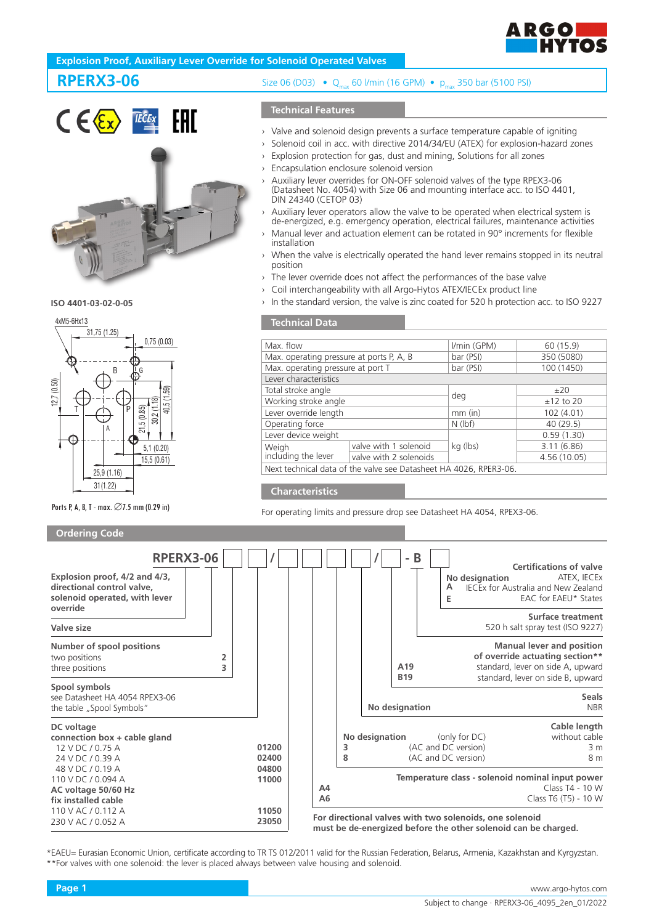

### **Explosion Proof, Auxiliary Lever Override for Solenoid Operated Valves**

# **RPERX3-06**



**ISO 4401-03-02-0-05** 



Ports P, A, B, T - max. ∅7.5 mm (0.29 in)

#### **Ordering Code**

Size 06 (D03) • Q<sub>max</sub> 60 l/min (16 GPM) • p<sub>max</sub> 350 bar (5100 PSI)

#### **Technical Features**

- Valve and solenoid design prevents a surface temperature capable of igniting
- Solenoid coil in acc. with directive 2014/34/EU (ATEX) for explosion-hazard zones
- $\rightarrow$  Explosion protection for gas, dust and mining, Solutions for all zones
- Encapsulation enclosure solenoid version
- Auxiliary lever overrides for ON-OFF solenoid valves of the type RPEX3-06 (Datasheet No. 4054) with Size 06 and mounting interface acc. to ISO 4401, DIN 24340 (CETOP 03)
- Auxiliary lever operators allow the valve to be operated when electrical system is de-energized, e.g. emergency operation, electrical failures, maintenance activities
- Manual lever and actuation element can be rotated in 90° increments for flexible installation
- When the valve is electrically operated the hand lever remains stopped in its neutral position
- The lever override does not affect the performances of the base valve
- › Coil interchangeability with all Argo-Hytos ATEX/IECEx product line
- In the standard version, the valve is zinc coated for 520 h protection acc. to ISO 9227

#### **Technical Data**

| Max. flow                                                         |                        | I/min (GPM) | 60 (15.9)    |  |  |  |
|-------------------------------------------------------------------|------------------------|-------------|--------------|--|--|--|
| Max. operating pressure at ports P, A, B                          |                        | bar (PSI)   | 350 (5080)   |  |  |  |
| Max. operating pressure at port T                                 |                        | bar (PSI)   | 100 (1450)   |  |  |  |
| Lever characteristics                                             |                        |             |              |  |  |  |
| Total stroke angle                                                |                        |             | $+20$        |  |  |  |
| Working stroke angle                                              |                        | deg         | $±12$ to 20  |  |  |  |
| Lever override length                                             |                        | $mm$ (in)   | 102 (4.01)   |  |  |  |
| Operating force                                                   |                        | $N$ (lbf)   | 40 (29.5)    |  |  |  |
| Lever device weight                                               |                        |             | 0.59(1.30)   |  |  |  |
| Weigh<br>including the lever                                      | valve with 1 solenoid  | kg (lbs)    | 3.11(6.86)   |  |  |  |
|                                                                   | valve with 2 solenoids |             | 4.56 (10.05) |  |  |  |
| Next technical data of the valve see Datasheet HA 4026, RPER3-06. |                        |             |              |  |  |  |

#### **Characteristics**

For operating limits and pressure drop see Datasheet HA 4054, RPEX3-06.



\*EAEU= Eurasian Economic Union, certificate according to TR TS 012/2011 valid for the Russian Federation, Belarus, Armenia, Kazakhstan and Kyrgyzstan. \*\*For valves with one solenoid: the lever is placed always between valve housing and solenoid.